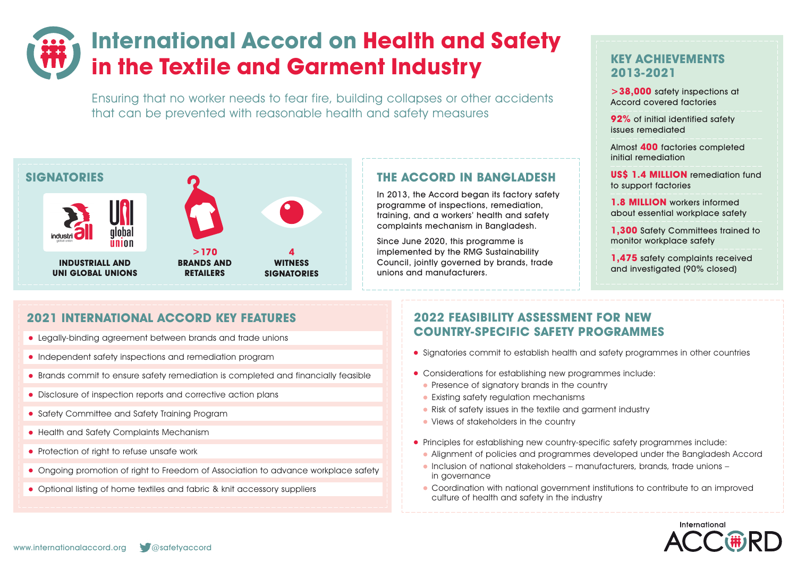# **International Accord on Health and Safety in the Textile and Garment Industry**

Ensuring that no worker needs to fear fire, building collapses or other accidents that can be prevented with reasonable health and safety measures



### **2021 INTERNATIONAL ACCORD KEY FEATURES**

- Legally-binding agreement between brands and trade unions
- Independent safety inspections and remediation program
- Brands commit to ensure safety remediation is completed and financially feasible
- Disclosure of inspection reports and corrective action plans
- Safety Committee and Safety Training Program
- Health and Safety Complaints Mechanism
- Protection of right to refuse unsafe work
- Ongoing promotion of right to Freedom of Association to advance workplace safety
- Optional listing of home textiles and fabric & knit accessory suppliers

# **THE ACCORD IN BANGLADESH**

In 2013, the Accord began its factory safety programme of inspections, remediation, training, and a workers' health and safety complaints mechanism in Bangladesh.

Since June 2020, this programme is implemented by the RMG Sustainability Council, jointly governed by brands, trade unions and manufacturers.

## **KEY ACHIEVEMENTS 2013-2021**

**>38,000** safety inspections at Accord covered factories

**92%** of initial identified safety issues remediated

Almost **400** factories completed initial remediation

**US\$ 1.4 MILLION** remediation fund to support factories

**1.8 MILLION** workers informed about essential workplace safety

**1.300** Safety Committees trained to monitor workplace safety

**1,475** safety complaints received and investigated (90% closed)

#### **2022 FEASIBILITY ASSESSMENT FOR NEW COUNTRY-SPECIFIC SAFETY PROGRAMMES**

- Signatories commit to establish health and safety programmes in other countries
- Considerations for establishing new programmes include:
	- Presence of signatory brands in the country
	- **•** Existing safety regulation mechanisms
	- Risk of safety issues in the textile and garment industry
	- Views of stakeholders in the country
- Principles for establishing new country-specific safety programmes include:
	- Alignment of policies and programmes developed under the Bangladesh Accord
	- $\bullet$  Inclusion of national stakeholders manufacturers, brands, trade unions in governance
	- Coordination with national government institutions to contribute to an improved culture of health and safety in the industry